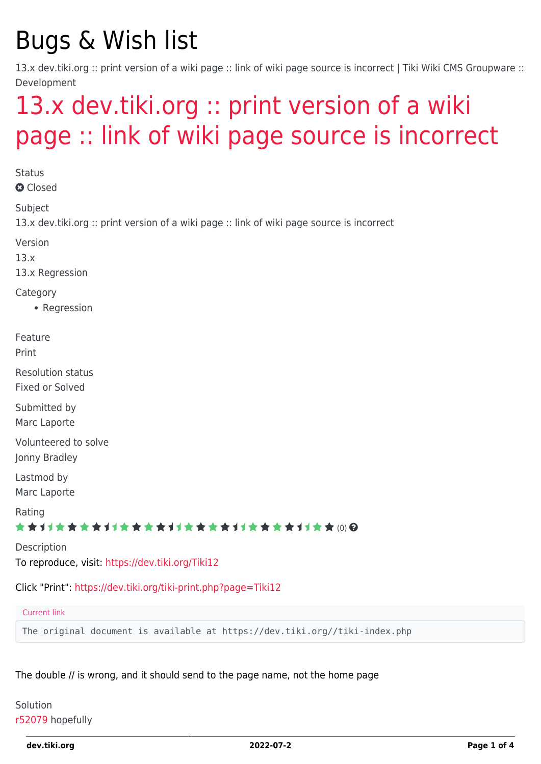# Bugs & Wish list

13.x dev.tiki.org :: print version of a wiki page :: link of wiki page source is incorrect | Tiki Wiki CMS Groupware :: Development

# [13.x dev.tiki.org :: print version of a wiki](https://dev.tiki.org/item5329-13-x-dev-tiki-org-print-version-of-a-wiki-page-link-of-wiki-page-source-is-incorrect) [page :: link of wiki page source is incorrect](https://dev.tiki.org/item5329-13-x-dev-tiki-org-print-version-of-a-wiki-page-link-of-wiki-page-source-is-incorrect)

**Status a** Closed Subject 13.x dev.tiki.org :: print version of a wiki page :: link of wiki page source is incorrect Version 13.x 13.x Regression Category • Regression Feature Print Resolution status Fixed or Solved Submitted by Marc Laporte Volunteered to solve Jonny Bradley Lastmod by Marc Laporte Rating ★ ★ オ オ ★ ★ ★ オ オ ★ ★ ★ ★ オ オ ★ ★ ★ ★ オ オ ★ ★ ★ オ オ ★ ★ @ @ Description To reproduce, visit:<https://dev.tiki.org/Tiki12> Click "Print":<https://dev.tiki.org/tiki-print.php?page=Tiki12>

#### Current link

The original document is available at https://dev.tiki.org//tiki-index.php

The double // is wrong, and it should send to the page name, not the home page

#### Solution [r52079](http://sourceforge.net/p/tikiwiki/code/52079) hopefully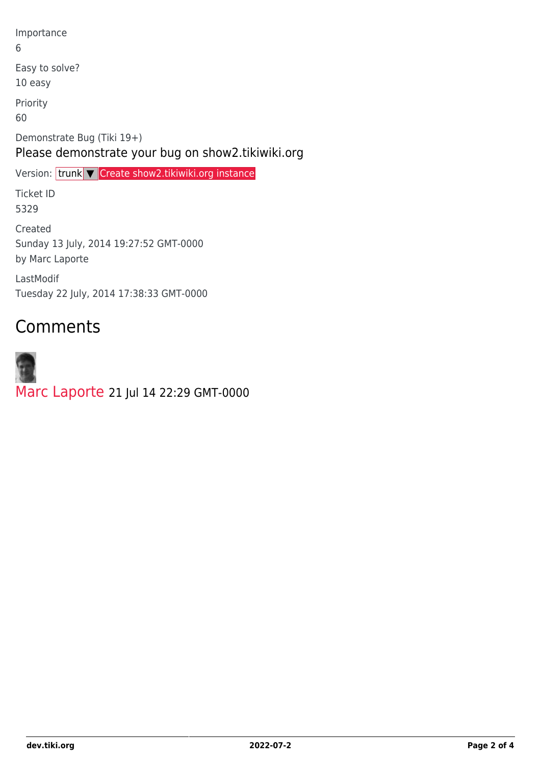Importance 6 Easy to solve? 10 easy Priority 60 Demonstrate Bug (Tiki 19+) Please demonstrate your bug on show2.tikiwiki.org Version: trunk ▼ [Create show2.tikiwiki.org instance](#page--1-0) Ticket ID 5329 Created Sunday 13 July, 2014 19:27:52 GMT-0000 by Marc Laporte LastModif

Tuesday 22 July, 2014 17:38:33 GMT-0000

## Comments

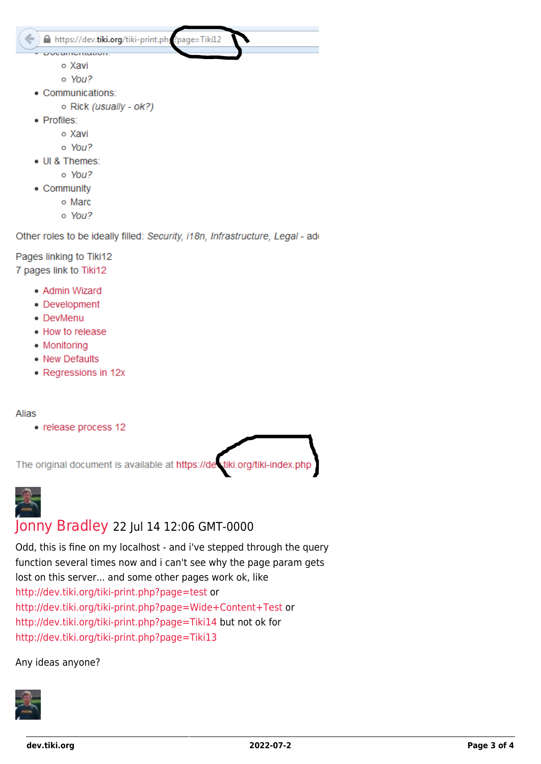https://dev.tiki.org/tiki-print.ph ?page=Tiki12

- **CONSUMING TRAINER** o Xavi
	- $o$  You?
- Communications:
	- o Rick (usually ok?)
- · Profiles:
	- o Xavi
	- o You?
- UI & Themes:
	- o You?
- Community
	- o Marc
	- o You?

Other roles to be ideally filled: Security, i18n, Infrastructure, Legal - add

Pages linking to Tiki12 7 pages link to Tiki12

- Admin Wizard
- Development
- DevMenu
- How to release
- Monitorina
- New Defaults
- Regressions in 12x

#### Alias

• release process 12

tiki.org/tiki-index.php The original document is available at https://de



### Jonny Bradley 22 Jul 14 12:06 GMT-0000

Odd, this is fine on my localhost - and i've stepped through the query function several times now and i can't see why the page param gets lost on this server... and some other pages work ok, like http://dev.tiki.org/tiki-print.php?page=test or http://dev.tiki.org/tiki-print.php?page=Wide+Content+Test or http://dev.tiki.org/tiki-print.php?page=Tiki14 but not ok for http://dev.tiki.org/tiki-print.php?page=Tiki13

#### Any ideas anyone?